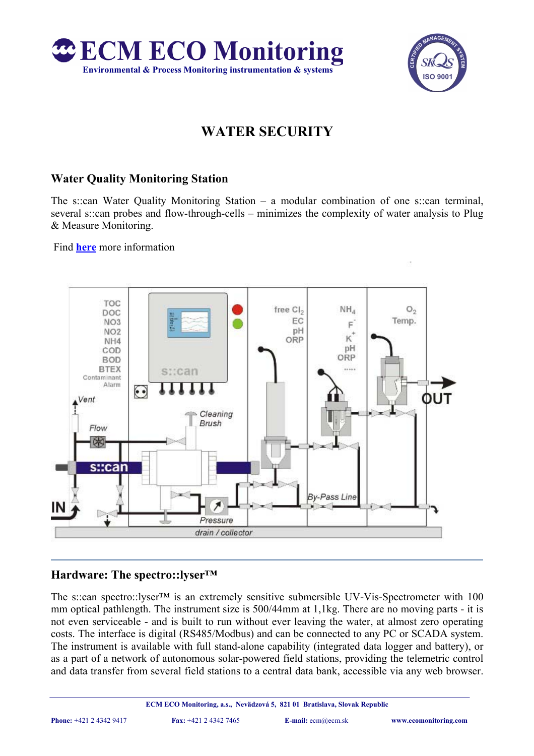



# **WATER SECURITY**

# **Water Quality Monitoring Station**

The s::can Water Quality Monitoring Station – a modular combination of one s::can terminal, several s::can probes and flow-through-cells – minimizes the complexity of water analysis to Plug & Measure Monitoring.

Find **here** more information



## **Hardware: The spectro::lyser™**

The s::can spectro::lyser™ is an extremely sensitive submersible UV-Vis-Spectrometer with 100 mm optical pathlength. The instrument size is 500/44mm at 1,1kg. There are no moving parts - it is not even serviceable - and is built to run without ever leaving the water, at almost zero operating costs. The interface is digital (RS485/Modbus) and can be connected to any PC or SCADA system. The instrument is available with full stand-alone capability (integrated data logger and battery), or as a part of a network of autonomous solar-powered field stations, providing the telemetric control and data transfer from several field stations to a central data bank, accessible via any web browser.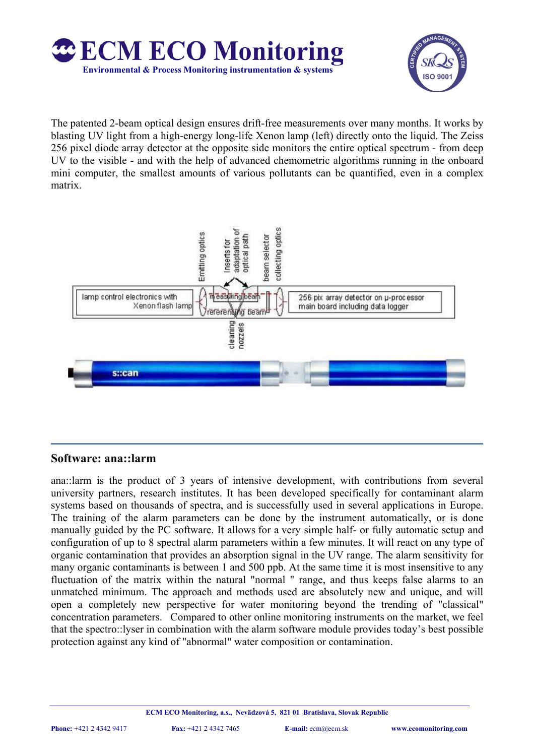



The patented 2-beam optical design ensures drift-free measurements over many months. It works by blasting UV light from a high-energy long-life Xenon lamp (left) directly onto the liquid. The Zeiss 256 pixel diode array detector at the opposite side monitors the entire optical spectrum - from deep UV to the visible - and with the help of advanced chemometric algorithms running in the onboard mini computer, the smallest amounts of various pollutants can be quantified, even in a complex matrix.



## **Software: ana::larm**

ana::larm is the product of 3 years of intensive development, with contributions from several university partners, research institutes. It has been developed specifically for contaminant alarm systems based on thousands of spectra, and is successfully used in several applications in Europe. The training of the alarm parameters can be done by the instrument automatically, or is done manually guided by the PC software. It allows for a very simple half- or fully automatic setup and configuration of up to 8 spectral alarm parameters within a few minutes. It will react on any type of organic contamination that provides an absorption signal in the UV range. The alarm sensitivity for many organic contaminants is between 1 and 500 ppb. At the same time it is most insensitive to any fluctuation of the matrix within the natural "normal " range, and thus keeps false alarms to an unmatched minimum. The approach and methods used are absolutely new and unique, and will open a completely new perspective for water monitoring beyond the trending of "classical" concentration parameters. Compared to other online monitoring instruments on the market, we feel that the spectro::lyser in combination with the alarm software module provides today's best possible protection against any kind of "abnormal" water composition or contamination.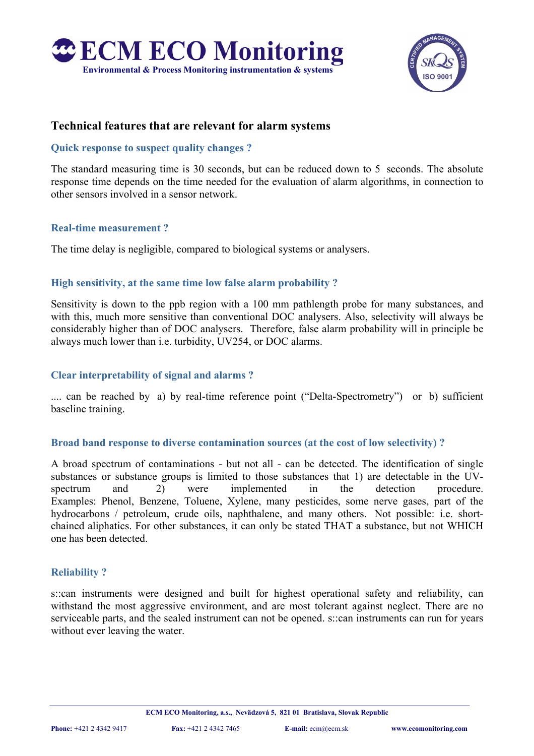



## **Technical features that are relevant for alarm systems**

#### **Quick response to suspect quality changes ?**

The standard measuring time is 30 seconds, but can be reduced down to 5 seconds. The absolute response time depends on the time needed for the evaluation of alarm algorithms, in connection to other sensors involved in a sensor network.

#### **Real-time measurement ?**

The time delay is negligible, compared to biological systems or analysers.

#### **High sensitivity, at the same time low false alarm probability ?**

Sensitivity is down to the ppb region with a 100 mm pathlength probe for many substances, and with this, much more sensitive than conventional DOC analysers. Also, selectivity will always be considerably higher than of DOC analysers. Therefore, false alarm probability will in principle be always much lower than i.e. turbidity, UV254, or DOC alarms.

#### **Clear interpretability of signal and alarms ?**

.... can be reached by a) by real-time reference point ("Delta-Spectrometry") or b) sufficient baseline training.

#### **Broad band response to diverse contamination sources (at the cost of low selectivity) ?**

A broad spectrum of contaminations - but not all - can be detected. The identification of single substances or substance groups is limited to those substances that 1) are detectable in the UVspectrum and 2) were implemented in the detection procedure. Examples: Phenol, Benzene, Toluene, Xylene, many pesticides, some nerve gases, part of the hydrocarbons / petroleum, crude oils, naphthalene, and many others. Not possible: i.e. shortchained aliphatics. For other substances, it can only be stated THAT a substance, but not WHICH one has been detected.

#### **Reliability ?**

s::can instruments were designed and built for highest operational safety and reliability, can withstand the most aggressive environment, and are most tolerant against neglect. There are no serviceable parts, and the sealed instrument can not be opened. s::can instruments can run for years without ever leaving the water.